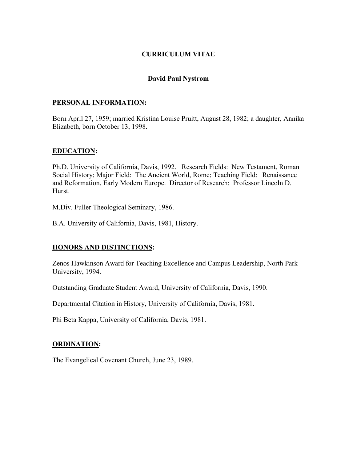## **CURRICULUM VITAE**

#### **David Paul Nystrom**

#### **PERSONAL INFORMATION:**

Born April 27, 1959; married Kristina Louise Pruitt, August 28, 1982; a daughter, Annika Elizabeth, born October 13, 1998.

## **EDUCATION:**

Ph.D. University of California, Davis, 1992. Research Fields: New Testament, Roman Social History; Major Field: The Ancient World, Rome; Teaching Field: Renaissance and Reformation, Early Modern Europe. Director of Research: Professor Lincoln D. Hurst.

M.Div. Fuller Theological Seminary, 1986.

B.A. University of California, Davis, 1981, History.

#### **HONORS AND DISTINCTIONS:**

Zenos Hawkinson Award for Teaching Excellence and Campus Leadership, North Park University, 1994.

Outstanding Graduate Student Award, University of California, Davis, 1990.

Departmental Citation in History, University of California, Davis, 1981.

Phi Beta Kappa, University of California, Davis, 1981.

#### **ORDINATION:**

The Evangelical Covenant Church, June 23, 1989.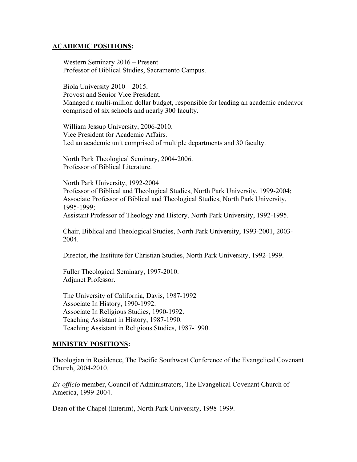#### **ACADEMIC POSITIONS:**

Western Seminary 2016 – Present Professor of Biblical Studies, Sacramento Campus.

Biola University 2010 – 2015. Provost and Senior Vice President. Managed a multi-million dollar budget, responsible for leading an academic endeavor comprised of six schools and nearly 300 faculty.

William Jessup University, 2006-2010. Vice President for Academic Affairs. Led an academic unit comprised of multiple departments and 30 faculty.

North Park Theological Seminary, 2004-2006. Professor of Biblical Literature.

North Park University, 1992-2004 Professor of Biblical and Theological Studies, North Park University, 1999-2004; Associate Professor of Biblical and Theological Studies, North Park University, 1995-1999;

Assistant Professor of Theology and History, North Park University, 1992-1995.

Chair, Biblical and Theological Studies, North Park University, 1993-2001, 2003- 2004.

Director, the Institute for Christian Studies, North Park University, 1992-1999.

Fuller Theological Seminary, 1997-2010. Adjunct Professor.

The University of California, Davis, 1987-1992 Associate In History, 1990-1992. Associate In Religious Studies, 1990-1992. Teaching Assistant in History, 1987-1990. Teaching Assistant in Religious Studies, 1987-1990.

#### **MINISTRY POSITIONS:**

Theologian in Residence, The Pacific Southwest Conference of the Evangelical Covenant Church, 2004-2010.

*Ex-officio* member, Council of Administrators, The Evangelical Covenant Church of America, 1999-2004.

Dean of the Chapel (Interim), North Park University, 1998-1999.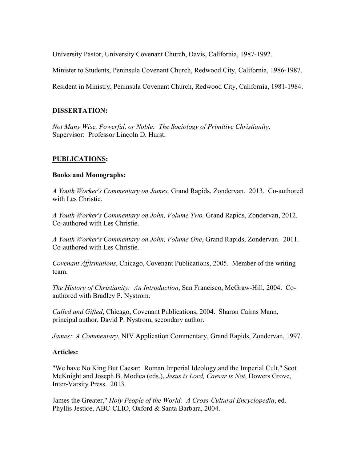University Pastor, University Covenant Church, Davis, California, 1987-1992.

Minister to Students, Peninsula Covenant Church, Redwood City, California, 1986-1987.

Resident in Ministry, Peninsula Covenant Church, Redwood City, California, 1981-1984.

# **DISSERTATION:**

*Not Many Wise, Powerful, or Noble: The Sociology of Primitive Christianity*. Supervisor: Professor Lincoln D. Hurst.

# **PUBLICATIONS:**

## **Books and Monographs:**

*A Youth Worker's Commentary on James,* Grand Rapids, Zondervan. 2013. Co-authored with Les Christie.

*A Youth Worker's Commentary on John, Volume Two,* Grand Rapids, Zondervan, 2012. Co-authored with Les Christie.

*A Youth Worker's Commentary on John, Volume One*, Grand Rapids, Zondervan. 2011. Co-authored with Les Christie.

*Covenant Affirmations*, Chicago, Covenant Publications, 2005. Member of the writing team.

*The History of Christianity: An Introduction*, San Francisco, McGraw-Hill, 2004. Coauthored with Bradley P. Nystrom.

*Called and Gifted*, Chicago, Covenant Publications, 2004. Sharon Cairns Mann, principal author, David P. Nystrom, secondary author.

*James: A Commentary*, NIV Application Commentary, Grand Rapids, Zondervan, 1997.

# **Articles:**

"We have No King But Caesar: Roman Imperial Ideology and the Imperial Cult," Scot McKnight and Joseph B. Modica (eds.), *Jesus is Lord, Caesar is Not*, Dowers Grove, Inter-Varsity Press. 2013.

James the Greater," *Holy People of the World: A Cross-Cultural Encyclopedia*, ed. Phyllis Jestice, ABC-CLIO, Oxford & Santa Barbara, 2004.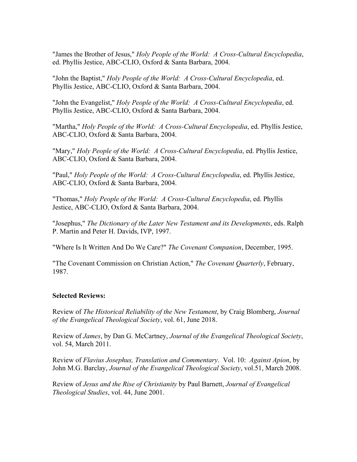"James the Brother of Jesus," *Holy People of the World: A Cross-Cultural Encyclopedia*, ed. Phyllis Jestice, ABC-CLIO, Oxford & Santa Barbara, 2004.

"John the Baptist," *Holy People of the World: A Cross-Cultural Encyclopedia*, ed. Phyllis Jestice, ABC-CLIO, Oxford & Santa Barbara, 2004.

"John the Evangelist," *Holy People of the World: A Cross-Cultural Encyclopedia*, ed. Phyllis Jestice, ABC-CLIO, Oxford & Santa Barbara, 2004.

"Martha," *Holy People of the World: A Cross-Cultural Encyclopedia*, ed. Phyllis Jestice, ABC-CLIO, Oxford & Santa Barbara, 2004.

"Mary," *Holy People of the World: A Cross-Cultural Encyclopedia*, ed. Phyllis Jestice, ABC-CLIO, Oxford & Santa Barbara, 2004.

"Paul," *Holy People of the World: A Cross-Cultural Encyclopedia*, ed. Phyllis Jestice, ABC-CLIO, Oxford & Santa Barbara, 2004.

"Thomas," *Holy People of the World: A Cross-Cultural Encyclopedia*, ed. Phyllis Jestice, ABC-CLIO, Oxford & Santa Barbara, 2004.

"Josephus," *The Dictionary of the Later New Testament and its Developments*, eds. Ralph P. Martin and Peter H. Davids, IVP, 1997.

"Where Is It Written And Do We Care?" *The Covenant Companion*, December, 1995.

"The Covenant Commission on Christian Action," *The Covenant Quarterly*, February, 1987.

# **Selected Reviews:**

Review of *The Historical Reliability of the New Testament*, by Craig Blomberg, *Journal of the Evangelical Theological Society*, vol. 61, June 2018.

Review of *James*, by Dan G. McCartney, *Journal of the Evangelical Theological Society*, vol. 54, March 2011.

Review of *Flavius Josephus, Translation and Commentary*. Vol. 10: *Against Apion*, by John M.G. Barclay, *Journal of the Evangelical Theological Society*, vol.51, March 2008.

Review of *Jesus and the Rise of Christianity* by Paul Barnett, *Journal of Evangelical Theological Studies*, vol. 44, June 2001.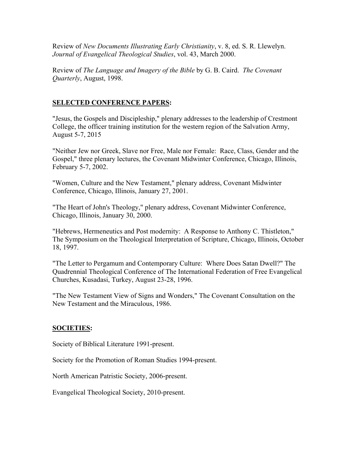Review of *New Documents Illustrating Early Christianity*, v. 8, ed. S. R. Llewelyn. *Journal of Evangelical Theological Studies*, vol. 43, March 2000.

Review of *The Language and Imagery of the Bible* by G. B. Caird. *The Covenant Quarterly*, August, 1998.

# **SELECTED CONFERENCE PAPERS:**

"Jesus, the Gospels and Discipleship," plenary addresses to the leadership of Crestmont College, the officer training institution for the western region of the Salvation Army, August 5-7, 2015

"Neither Jew nor Greek, Slave nor Free, Male nor Female: Race, Class, Gender and the Gospel," three plenary lectures, the Covenant Midwinter Conference, Chicago, Illinois, February 5-7, 2002.

"Women, Culture and the New Testament," plenary address, Covenant Midwinter Conference, Chicago, Illinois, January 27, 2001.

"The Heart of John's Theology," plenary address, Covenant Midwinter Conference, Chicago, Illinois, January 30, 2000.

"Hebrews, Hermeneutics and Post modernity: A Response to Anthony C. Thistleton," The Symposium on the Theological Interpretation of Scripture, Chicago, Illinois, October 18, 1997.

"The Letter to Pergamum and Contemporary Culture: Where Does Satan Dwell?" The Quadrennial Theological Conference of The International Federation of Free Evangelical Churches, Kusadasi, Turkey, August 23-28, 1996.

"The New Testament View of Signs and Wonders," The Covenant Consultation on the New Testament and the Miraculous, 1986.

# **SOCIETIES:**

Society of Biblical Literature 1991-present.

Society for the Promotion of Roman Studies 1994-present.

North American Patristic Society, 2006-present.

Evangelical Theological Society, 2010-present.